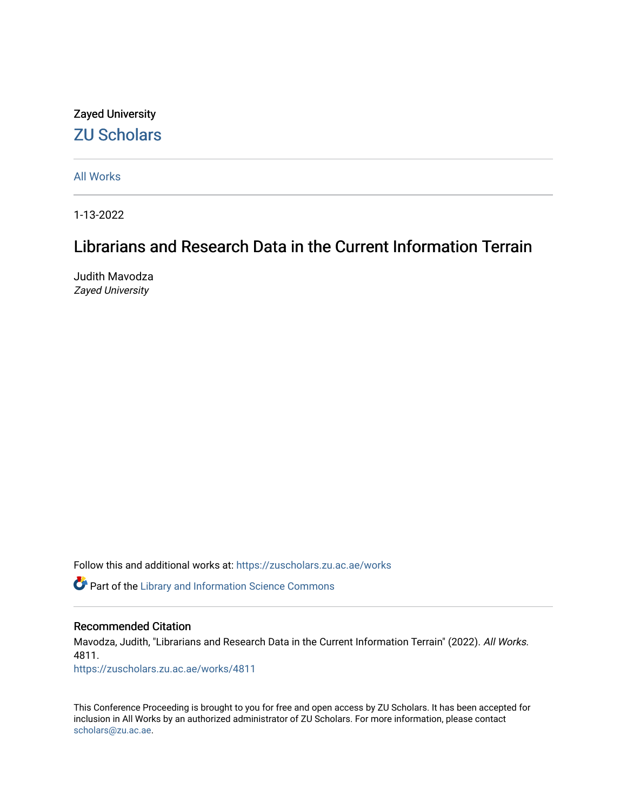### Zayed University [ZU Scholars](https://zuscholars.zu.ac.ae/)

[All Works](https://zuscholars.zu.ac.ae/works)

1-13-2022

### Librarians and Research Data in the Current Information Terrain

Judith Mavodza Zayed University

Follow this and additional works at: [https://zuscholars.zu.ac.ae/works](https://zuscholars.zu.ac.ae/works?utm_source=zuscholars.zu.ac.ae%2Fworks%2F4811&utm_medium=PDF&utm_campaign=PDFCoverPages)

**C** Part of the Library and Information Science Commons

### Recommended Citation

Mavodza, Judith, "Librarians and Research Data in the Current Information Terrain" (2022). All Works. 4811.

[https://zuscholars.zu.ac.ae/works/4811](https://zuscholars.zu.ac.ae/works/4811?utm_source=zuscholars.zu.ac.ae%2Fworks%2F4811&utm_medium=PDF&utm_campaign=PDFCoverPages)

This Conference Proceeding is brought to you for free and open access by ZU Scholars. It has been accepted for inclusion in All Works by an authorized administrator of ZU Scholars. For more information, please contact [scholars@zu.ac.ae.](mailto:scholars@zu.ac.ae)